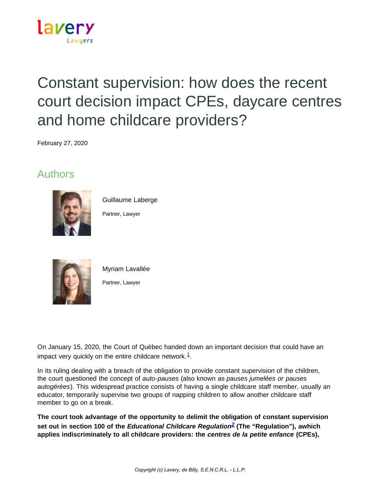

# Constant supervision: how does the recent court decision impact CPEs, daycare centres and home childcare providers?

February 27, 2020

### Authors



Guillaume Laberge

Partner, Lawyer



Myriam Lavallée Partner, Lawyer

On January 15, 2020, the Court of Québec handed down an important decision that could have an impact very quickly on the entire childcare network. $1$ .

In its ruling dealing with a breach of the obligation to provide constant supervision of the children, the court questioned the concept of *auto-pauses* (also known as *pauses jumelées or pauses autogérées*). This widespread practice consists of having a single childcare staff member, usually an educator, temporarily supervise two groups of napping children to allow another childcare staff member to go on a break.

**The court took advantage of the opportunity to delimit the obligation of constant supervision set out in section 100 of the** *Educational Childcare Regulation[2](https://www.lavery.ca/en/publications/our-publications/3199-constant-supervision-what-does-the-recent-decision-change-for-the-centres-de-la-petite-enfance-cpe-daycare-centres-and-home-childcare-providers.html#02)* **(The "Regulation"), awhich applies indiscriminately to all childcare providers: the** *centres de la petite enfance* **(CPEs),**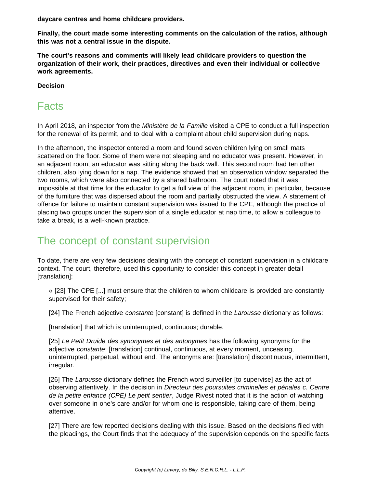**daycare centres and home childcare providers.**

**Finally, the court made some interesting comments on the calculation of the ratios, although this was not a central issue in the dispute.**

**The court's reasons and comments will likely lead childcare providers to question the organization of their work, their practices, directives and even their individual or collective work agreements.**

**Decision**

### Facts

In April 2018, an inspector from the *Ministère de la Famille* visited a CPE to conduct a full inspection for the renewal of its permit, and to deal with a complaint about child supervision during naps.

In the afternoon, the inspector entered a room and found seven children lying on small mats scattered on the floor. Some of them were not sleeping and no educator was present. However, in an adjacent room, an educator was sitting along the back wall. This second room had ten other children, also lying down for a nap. The evidence showed that an observation window separated the two rooms, which were also connected by a shared bathroom. The court noted that it was impossible at that time for the educator to get a full view of the adjacent room, in particular, because of the furniture that was dispersed about the room and partially obstructed the view. A statement of offence for failure to maintain constant supervision was issued to the CPE, although the practice of placing two groups under the supervision of a single educator at nap time, to allow a colleague to take a break, is a well-known practice.

# The concept of constant supervision

To date, there are very few decisions dealing with the concept of constant supervision in a childcare context. The court, therefore, used this opportunity to consider this concept in greater detail [translation]:

« [23] The CPE [...] must ensure that the children to whom childcare is provided are constantly supervised for their safety;

[24] The French adjective *constante* [constant] is defined in the *Larousse* dictionary as follows:

[translation] that which is uninterrupted, continuous; durable.

[25] *Le Petit Druide des synonymes et des antonymes* has the following synonyms for the adjective *constante*: [translation] continual, continuous, at every moment, unceasing, uninterrupted, perpetual, without end. The antonyms are: [translation] discontinuous, intermittent, irregular.

[26] The *Larousse* dictionary defines the French word surveiller [to supervise] as the act of observing attentively. In the decision in *Directeur des poursuites criminelles et pénales c. Centre de la petite enfance (CPE) Le petit sentier*, Judge Rivest noted that it is the action of watching over someone in one's care and/or for whom one is responsible, taking care of them, being attentive.

[27] There are few reported decisions dealing with this issue. Based on the decisions filed with the pleadings, the Court finds that the adequacy of the supervision depends on the specific facts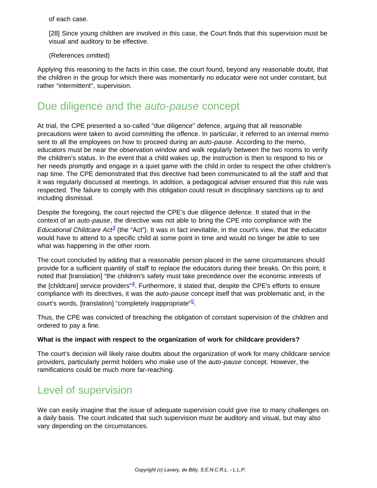of each case.

[28] Since young children are involved in this case, the Court finds that this supervision must be visual and auditory to be effective.

(References omitted)

Applying this reasoning to the facts in this case, the court found, beyond any reasonable doubt, that the children in the group for which there was momentarily no educator were not under constant, but rather "intermittent", supervision.

### Due diligence and the *auto-pause* concept

At trial, the CPE presented a so-called "due diligence" defence, arguing that all reasonable precautions were taken to avoid committing the offence. In particular, it referred to an internal memo sent to all the employees on how to proceed during an *auto-pause*. According to the memo, educators must be near the observation window and walk regularly between the two rooms to verify the children's status. In the event that a child wakes up, the instruction is then to respond to his or her needs promptly and engage in a quiet game with the child in order to respect the other children's nap time. The CPE demonstrated that this directive had been communicated to all the staff and that it was regularly discussed at meetings. In addition, a pedagogical adviser ensured that this rule was respected. The failure to comply with this obligation could result in disciplinary sanctions up to and including dismissal.

Despite the foregoing, the court rejected the CPE's due diligence defence. It stated that in the context of an *auto-pause*, the directive was not able to bring the CPE into compliance with the *Educational Childcare Act[3](https://www.lavery.ca/en/publications/our-publications/3199-constant-supervision-what-does-the-recent-decision-change-for-the-centres-de-la-petite-enfance-cpe-daycare-centres-and-home-childcare-providers.html#03)* (the "Act"). It was in fact inevitable, in the court's view, that the educator would have to attend to a specific child at some point in time and would no longer be able to see what was happening in the other room.

The court concluded by adding that a reasonable person placed in the same circumstances should provide for a sufficient quantity of staff to replace the educators during their breaks. On this point, it noted that [translation] "the children's safety must take precedence over the economic interests of the [childcare] service providers" $\frac{4}{5}$  $\frac{4}{5}$  $\frac{4}{5}$ . Furthermore, it stated that, despite the CPE's efforts to ensure compliance with its directives, it was the *auto-pause* concept itself that was problematic and, in the court's words, [translation] "completely inappropriate"<sup>[5](https://www.lavery.ca/en/publications/our-publications/3199-constant-supervision-what-does-the-recent-decision-change-for-the-centres-de-la-petite-enfance-cpe-daycare-centres-and-home-childcare-providers.html#05)</sup>.

Thus, the CPE was convicted of breaching the obligation of constant supervision of the children and ordered to pay a fine.

#### **What is the impact with respect to the organization of work for childcare providers?**

The court's decision will likely raise doubts about the organization of work for many childcare service providers, particularly permit holders who make use of the *auto-pause* concept. However, the ramifications could be much more far-reaching.

### Level of supervision

We can easily imagine that the issue of adequate supervision could give rise to many challenges on a daily basis. The court indicated that such supervision must be auditory and visual, but may also vary depending on the circumstances.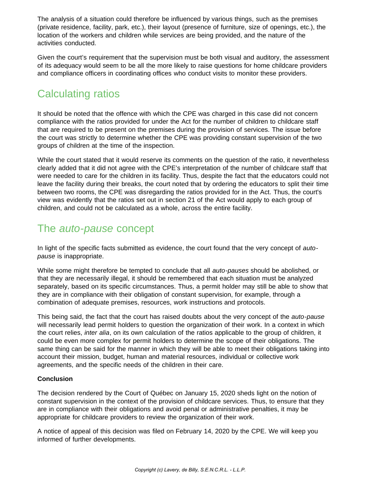The analysis of a situation could therefore be influenced by various things, such as the premises (private residence, facility, park, etc.), their layout (presence of furniture, size of openings, etc.), the location of the workers and children while services are being provided, and the nature of the activities conducted.

Given the court's requirement that the supervision must be both visual and auditory, the assessment of its adequacy would seem to be all the more likely to raise questions for home childcare providers and compliance officers in coordinating offices who conduct visits to monitor these providers.

# Calculating ratios

It should be noted that the offence with which the CPE was charged in this case did not concern compliance with the ratios provided for under the Act for the number of children to childcare staff that are required to be present on the premises during the provision of services. The issue before the court was strictly to determine whether the CPE was providing constant supervision of the two groups of children at the time of the inspection.

While the court stated that it would reserve its comments on the question of the ratio, it nevertheless clearly added that it did not agree with the CPE's interpretation of the number of childcare staff that were needed to care for the children in its facility. Thus, despite the fact that the educators could not leave the facility during their breaks, the court noted that by ordering the educators to split their time between two rooms, the CPE was disregarding the ratios provided for in the Act. Thus, the court's view was evidently that the ratios set out in section 21 of the Act would apply to each group of children, and could not be calculated as a whole, across the entire facility.

### The *auto-pause* concept

In light of the specific facts submitted as evidence, the court found that the very concept of *autopause* is inappropriate.

While some might therefore be tempted to conclude that all *auto-pauses* should be abolished, or that they are necessarily illegal, it should be remembered that each situation must be analyzed separately, based on its specific circumstances. Thus, a permit holder may still be able to show that they are in compliance with their obligation of constant supervision, for example, through a combination of adequate premises, resources, work instructions and protocols.

This being said, the fact that the court has raised doubts about the very concept of the *auto-pause* will necessarily lead permit holders to question the organization of their work. In a context in which the court relies, *inter alia*, on its own calculation of the ratios applicable to the group of children, it could be even more complex for permit holders to determine the scope of their obligations. The same thing can be said for the manner in which they will be able to meet their obligations taking into account their mission, budget, human and material resources, individual or collective work agreements, and the specific needs of the children in their care.

#### **Conclusion**

The decision rendered by the Court of Québec on January 15, 2020 sheds light on the notion of constant supervision in the context of the provision of childcare services. Thus, to ensure that they are in compliance with their obligations and avoid penal or administrative penalties, it may be appropriate for childcare providers to review the organization of their work.

A notice of appeal of this decision was filed on February 14, 2020 by the CPE. We will keep you informed of further developments.